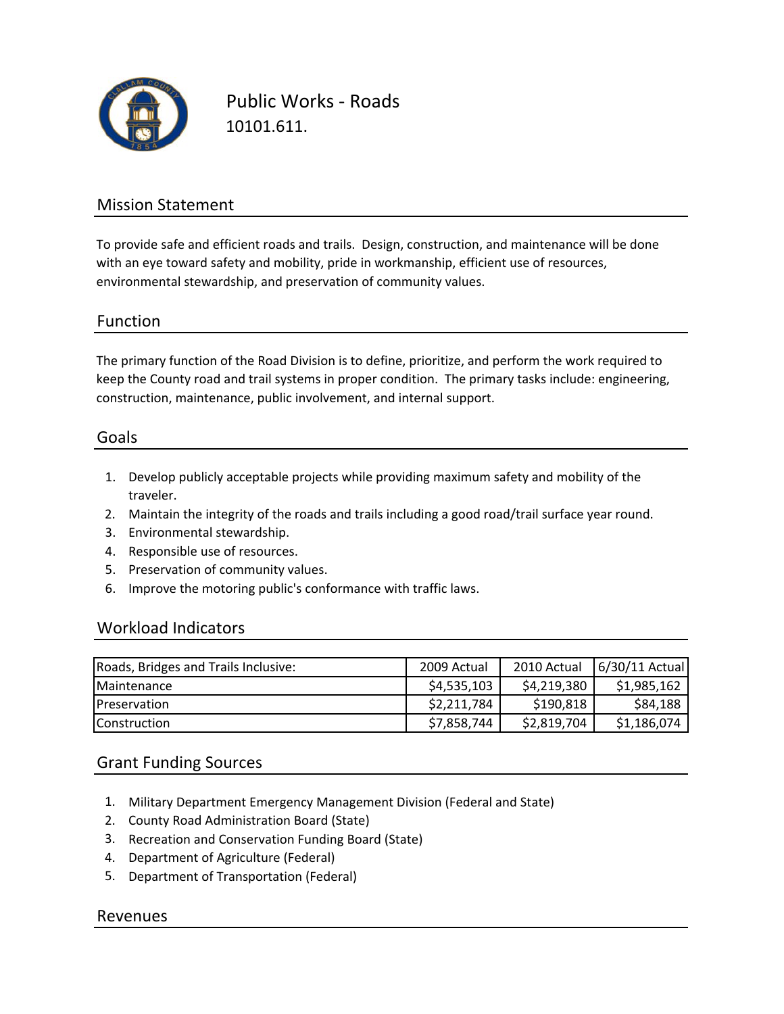

Public Works ‐ Roads 10101.611.

## Mission Statement

To provide safe and efficient roads and trails. Design, construction, and maintenance will be done with an eye toward safety and mobility, pride in workmanship, efficient use of resources, environmental stewardship, and preservation of community values.

### Function

The primary function of the Road Division is to define, prioritize, and perform the work required to keep the County road and trail systems in proper condition. The primary tasks include: engineering, construction, maintenance, public involvement, and internal support.

### Goals

- 1. Develop publicly acceptable projects while providing maximum safety and mobility of the traveler.
- 2. Maintain the integrity of the roads and trails including a good road/trail surface year round.
- 3. Environmental stewardship.
- 4. Responsible use of resources.
- 5. Preservation of community values.
- 6. Improve the motoring public's conformance with traffic laws.

### Workload Indicators

| Roads, Bridges and Trails Inclusive: | 2009 Actual | 2010 Actual | 6/30/11 Actual |
|--------------------------------------|-------------|-------------|----------------|
| Maintenance                          | \$4,535,103 | \$4,219,380 | \$1,985,162    |
| Preservation                         | \$2,211,784 | \$190,818   | \$84,188       |
| Construction                         | \$7,858,744 | \$2,819,704 | \$1,186,074    |

## Grant Funding Sources

- 1. Military Department Emergency Management Division (Federal and State)
- 2. County Road Administration Board (State)
- 3. Recreation and Conservation Funding Board (State)
- 4. Department of Agriculture (Federal)
- 5. Department of Transportation (Federal)

### Revenues